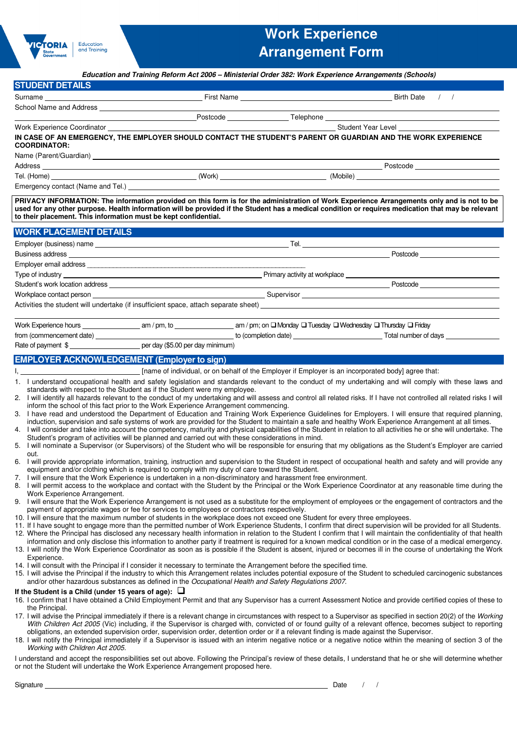

# **Work Experience Arrangement Form**

|                                                                                                                                                                                                                                |  | Education and Training Reform Act 2006 - Ministerial Order 382: Work Experience Arrangements (Schools)                                                                                                                                                                                                                                                                                                                                                                         |  |
|--------------------------------------------------------------------------------------------------------------------------------------------------------------------------------------------------------------------------------|--|--------------------------------------------------------------------------------------------------------------------------------------------------------------------------------------------------------------------------------------------------------------------------------------------------------------------------------------------------------------------------------------------------------------------------------------------------------------------------------|--|
| <b>STUDENT DETAILS</b>                                                                                                                                                                                                         |  |                                                                                                                                                                                                                                                                                                                                                                                                                                                                                |  |
| Surname                                                                                                                                                                                                                        |  | and the set of the set of the set of the set of the set of the set of the set of the set of the set of the set o                                                                                                                                                                                                                                                                                                                                                               |  |
|                                                                                                                                                                                                                                |  |                                                                                                                                                                                                                                                                                                                                                                                                                                                                                |  |
|                                                                                                                                                                                                                                |  |                                                                                                                                                                                                                                                                                                                                                                                                                                                                                |  |
| Work Experience Coordinator                                                                                                                                                                                                    |  | Student Year Level Contract Contract Contract Contract Contract Contract Contract Contract Contract Contract Contract Contract Contract Contract Contract Contract Contract Contract Contract Contract Contract Contract Contr                                                                                                                                                                                                                                                 |  |
|                                                                                                                                                                                                                                |  | IN CASE OF AN EMERGENCY, THE EMPLOYER SHOULD CONTACT THE STUDENT'S PARENT OR GUARDIAN AND THE WORK EXPERIENCE                                                                                                                                                                                                                                                                                                                                                                  |  |
| <b>COORDINATOR:</b>                                                                                                                                                                                                            |  |                                                                                                                                                                                                                                                                                                                                                                                                                                                                                |  |
|                                                                                                                                                                                                                                |  |                                                                                                                                                                                                                                                                                                                                                                                                                                                                                |  |
| Address and the contract of the contract of the contract of the contract of the contract of the contract of the contract of the contract of the contract of the contract of the contract of the contract of the contract of th |  | Postcode <b>Example 2019</b>                                                                                                                                                                                                                                                                                                                                                                                                                                                   |  |
|                                                                                                                                                                                                                                |  |                                                                                                                                                                                                                                                                                                                                                                                                                                                                                |  |
|                                                                                                                                                                                                                                |  |                                                                                                                                                                                                                                                                                                                                                                                                                                                                                |  |
| to their placement. This information must be kept confidential.                                                                                                                                                                |  | PRIVACY INFORMATION: The information provided on this form is for the administration of Work Experience Arrangements only and is not to be<br>used for any other purpose. Health information will be provided if the Student has a medical condition or requires medication that may be relevant                                                                                                                                                                               |  |
| <b>WORK PLACEMENT DETAILS</b>                                                                                                                                                                                                  |  |                                                                                                                                                                                                                                                                                                                                                                                                                                                                                |  |
|                                                                                                                                                                                                                                |  | $T$ el.                                                                                                                                                                                                                                                                                                                                                                                                                                                                        |  |
|                                                                                                                                                                                                                                |  |                                                                                                                                                                                                                                                                                                                                                                                                                                                                                |  |
|                                                                                                                                                                                                                                |  |                                                                                                                                                                                                                                                                                                                                                                                                                                                                                |  |
| Type of industry example and the state of the state of the state of the Primary activity at workplace example of the state of the state of the state of the state of the state of the state of the state of the state of the s |  |                                                                                                                                                                                                                                                                                                                                                                                                                                                                                |  |
|                                                                                                                                                                                                                                |  | $\begin{array}{c c c c} \hline \multicolumn{3}{c }{\textbf{--}} & \multicolumn{3}{c }{\textbf{--}} \\ \hline \multicolumn{3}{c }{\textbf{--}} & \multicolumn{3}{c }{\textbf{--}} \\ \hline \multicolumn{3}{c }{\textbf{--}} & \multicolumn{3}{c }{\textbf{--}} \\ \hline \multicolumn{3}{c }{\textbf{--}} & \multicolumn{3}{c }{\textbf{--}} \\ \hline \multicolumn{3}{c }{\textbf{--}} & \multicolumn{3}{c }{\textbf{--}} \\ \hline \multicolumn{3}{c }{\textbf{--}} & \mult$ |  |
| Workplace contact person                                                                                                                                                                                                       |  | Supervisor Supervisor Supervisor Supervisor Supervisor Supervisor Supervisor Supervisor Supervisor Supervisor                                                                                                                                                                                                                                                                                                                                                                  |  |
|                                                                                                                                                                                                                                |  |                                                                                                                                                                                                                                                                                                                                                                                                                                                                                |  |
|                                                                                                                                                                                                                                |  |                                                                                                                                                                                                                                                                                                                                                                                                                                                                                |  |
|                                                                                                                                                                                                                                |  |                                                                                                                                                                                                                                                                                                                                                                                                                                                                                |  |
|                                                                                                                                                                                                                                |  |                                                                                                                                                                                                                                                                                                                                                                                                                                                                                |  |
| Rate of payment \$ ___________________________ per day (\$5.00 per day minimum)                                                                                                                                                |  |                                                                                                                                                                                                                                                                                                                                                                                                                                                                                |  |
| <b>EMPLOYER ACKNOWLEDGEMENT (Employer to sign)</b>                                                                                                                                                                             |  |                                                                                                                                                                                                                                                                                                                                                                                                                                                                                |  |
|                                                                                                                                                                                                                                |  |                                                                                                                                                                                                                                                                                                                                                                                                                                                                                |  |
|                                                                                                                                                                                                                                |  | 1. I understand occupational health and safety legislation and standards relevant to the conduct of my undertaking and will comply with these laws and                                                                                                                                                                                                                                                                                                                         |  |
| standards with respect to the Student as if the Student were my employee.                                                                                                                                                      |  |                                                                                                                                                                                                                                                                                                                                                                                                                                                                                |  |
|                                                                                                                                                                                                                                |  | 2. I will identify all hazards relevant to the conduct of my undertaking and will assess and control all related risks. If I have not controlled all related risks I will                                                                                                                                                                                                                                                                                                      |  |
| inform the school of this fact prior to the Work Experience Arrangement commencing.                                                                                                                                            |  | 3. I have read and understood the Department of Education and Training Work Experience Guidelines for Employers. I will ensure that required planning,                                                                                                                                                                                                                                                                                                                         |  |
|                                                                                                                                                                                                                                |  | induction, supervision and safe systems of work are provided for the Student to maintain a safe and healthy Work Experience Arrangement at all times.                                                                                                                                                                                                                                                                                                                          |  |
|                                                                                                                                                                                                                                |  | 4. I will consider and take into account the competency, maturity and physical capabilities of the Student in relation to all activities he or she will undertake. The                                                                                                                                                                                                                                                                                                         |  |
| Student's program of activities will be planned and carried out with these considerations in mind.                                                                                                                             |  |                                                                                                                                                                                                                                                                                                                                                                                                                                                                                |  |
| out.                                                                                                                                                                                                                           |  | 5. I will nominate a Supervisor (or Supervisors) of the Student who will be responsible for ensuring that my obligations as the Student's Employer are carried                                                                                                                                                                                                                                                                                                                 |  |
|                                                                                                                                                                                                                                |  | 6. I will provide appropriate information, training, instruction and supervision to the Student in respect of occupational health and safety and will provide any                                                                                                                                                                                                                                                                                                              |  |
| equipment and/or clothing which is required to comply with my duty of care toward the Student.                                                                                                                                 |  |                                                                                                                                                                                                                                                                                                                                                                                                                                                                                |  |
| 7. I will ensure that the Work Experience is undertaken in a non-discriminatory and harassment free environment.                                                                                                               |  | 8. I will permit access to the workplace and contact with the Student by the Principal or the Work Experience Coordinator at any reasonable time during the                                                                                                                                                                                                                                                                                                                    |  |
| Work Experience Arrangement.                                                                                                                                                                                                   |  |                                                                                                                                                                                                                                                                                                                                                                                                                                                                                |  |
|                                                                                                                                                                                                                                |  | 9. I will ensure that the Work Experience Arrangement is not used as a substitute for the employment of employees or the engagement of contractors and the                                                                                                                                                                                                                                                                                                                     |  |
| payment of appropriate wages or fee for services to employees or contractors respectively.                                                                                                                                     |  |                                                                                                                                                                                                                                                                                                                                                                                                                                                                                |  |
| 10. I will ensure that the maximum number of students in the workplace does not exceed one Student for every three employees.                                                                                                  |  | 11. If I have sought to engage more than the permitted number of Work Experience Students, I confirm that direct supervision will be provided for all Students.                                                                                                                                                                                                                                                                                                                |  |
|                                                                                                                                                                                                                                |  | 12. Where the Principal has disclosed any necessary health information in relation to the Student I confirm that I will maintain the confidentiality of that health                                                                                                                                                                                                                                                                                                            |  |
|                                                                                                                                                                                                                                |  | information and only disclose this information to another party if treatment is required for a known medical condition or in the case of a medical emergency.                                                                                                                                                                                                                                                                                                                  |  |
|                                                                                                                                                                                                                                |  | 13. I will notify the Work Experience Coordinator as soon as is possible if the Student is absent, injured or becomes ill in the course of undertaking the Work                                                                                                                                                                                                                                                                                                                |  |
| Experience.<br>14. I will consult with the Principal if I consider it necessary to terminate the Arrangement before the specified time.                                                                                        |  |                                                                                                                                                                                                                                                                                                                                                                                                                                                                                |  |
|                                                                                                                                                                                                                                |  | 15. I will advise the Principal if the industry to which this Arrangement relates includes potential exposure of the Student to scheduled carcinogenic substances                                                                                                                                                                                                                                                                                                              |  |
| and/or other hazardous substances as defined in the Occupational Health and Safety Regulations 2007.                                                                                                                           |  |                                                                                                                                                                                                                                                                                                                                                                                                                                                                                |  |
| If the Student is a Child (under 15 years of age): $\Box$                                                                                                                                                                      |  |                                                                                                                                                                                                                                                                                                                                                                                                                                                                                |  |
|                                                                                                                                                                                                                                |  | 16. I confirm that I have obtained a Child Employment Permit and that any Supervisor has a current Assessment Notice and provide certified copies of these to                                                                                                                                                                                                                                                                                                                  |  |
| the Principal.                                                                                                                                                                                                                 |  | 17. I will advise the Principal immediately if there is a relevant change in circumstances with respect to a Supervisor as specified in section 20(2) of the Working                                                                                                                                                                                                                                                                                                           |  |
|                                                                                                                                                                                                                                |  | With Children Act 2005 (Vic) including, if the Supervisor is charged with, convicted of or found guilty of a relevant offence, becomes subject to reporting                                                                                                                                                                                                                                                                                                                    |  |
|                                                                                                                                                                                                                                |  | obligations, an extended supervision order, supervision order, detention order or if a relevant finding is made against the Supervisor.                                                                                                                                                                                                                                                                                                                                        |  |
| Working with Children Act 2005.                                                                                                                                                                                                |  | 18. I will notify the Principal immediately if a Supervisor is issued with an interim negative notice or a negative notice within the meaning of section 3 of the                                                                                                                                                                                                                                                                                                              |  |
|                                                                                                                                                                                                                                |  | I understand and accept the responsibilities set out above. Following the Principal's review of these details, I understand that he or she will determine whether                                                                                                                                                                                                                                                                                                              |  |
| or not the Student will undertake the Work Experience Arrangement proposed here.                                                                                                                                               |  |                                                                                                                                                                                                                                                                                                                                                                                                                                                                                |  |

Signature Date / /